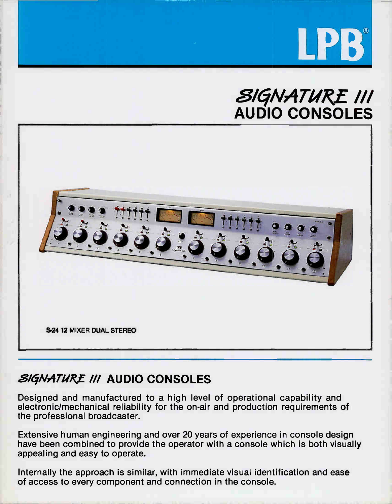





# **SIGNATURE III AUDIO CONSOLES**

Designed and manufactured to a high level of operational capability and electronic/mechanical reliability for the on-air and production requirements of the professional broadcaster.

Extensive human engineering and over 20 years of experience in console design have been combined to provide the operator with a console which is both visually appealing and easy to operate.

Internally the approach is similar, with immediate visual identification and ease of access to every component and connection in the console.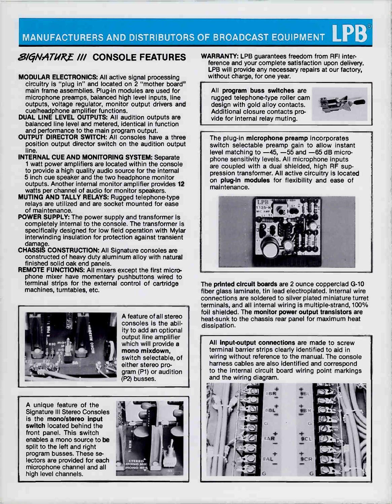# MANUFACTURERS AND DISTRIBUTORS OF BROADCAST EQUIPMENT  $\mathbf{LPB}$

### **SIGNATURE III CONSOLE FEATURES**

- MODULAR ELECTRONICS: All active signal processing circuitry is "plug in" and located on 2 "mother board" main frame assemblies. Plug-in modules are used for microphone preamps, balanced high level inputs, line outputs, voltage regulator, monitor output drivers and cue/headphone amplifier functions.
- DUAL LINE LEVEL OUTPUTS: All audition outputs are balanced line level and metered, identical in function and performance to the main program output.
- OUTPUT DIRECTOR SWITCH: All consoles have a three position output director switch on the audition output line.
- INTERNAL CUE AND MONITORING SYSTEM: Separate 1 watt power amplifiers are located within the console to provide a high quality audio source for the internal 5 inch cue speaker and the two headphone monitor outputs. Another internal monitor amplifier provides 12 watts per channel of audio for monitor speakers.
- MUTING AND TALLY RELAYS: Rugged telephone-type relays are utilized and are socket mounted for ease of maintenance.
- POWER SUPPLY: The power supply and transformer is completely internal to the console. The transformer is specifically designed for low field operation with Mylar interwinding insulation for protection against transient damage.
- CHASSIS CONSTRUCTION: All Signature consoles are constructed of heavy duty aluminum alloy with natural finished solid oak end panels.
- REMOTE FUNCTIONS: All mixers except the first microphone mixer have momentary pushbuttons wired to terminal strips for the external control of cartridge machines, turntables, etc.



A feature of all stereo consoles is the ability to add an optional output line amplifier which will provide a mono mixdown, switch selectable, of either stereo program (P1) or audition (P2) busses.

A unique feature of the Signature Ill Stereo Consoles is the mono/stereo input switch located behind the front panel. This switch enables a mono source to be split to the left and right program busses. These selectors are provided for each microphone channel and all high level channels.



WARRANTY: LPB guarantees freedom from RFI interference and your complete satisfaction upon delivery. LPB will provide any necessary repairs at our factory, without charge, for one year.

All program buss switches are rugged telephone-type roller cam design with gold alloy contacts. Additional closure contacts provide for internal relay muting.



The plug-in microphone preamp incorporates switch selectable preamp gain to allow instant level matching to —45, —55 and —65 dB microphone sensitivity levels. All microphone inputs are coupled with a dual shielded, high RF suppression transformer. All active circuitry is located on plug-in modules for flexibility and ease of maintenance.



The printed circuit boards are 2 ounce copperclad G-10 fiber glass laminate, tin lead electroplated. Internal wire connections are soldered to silver plated miniature turret terminals, and all internal wiring is multiple-strand, 100% foil shielded. The monitor power output transistors are heat-sunk to the chassis rear panel for maximum heat dissipation.

All input-output connections are made to screw terminal barrier strips clearly identified to aid in wiring without reference to the manual. The console harness cables are also identified and correspond to the internal circuit board wiring point markings and the wiring diagram.

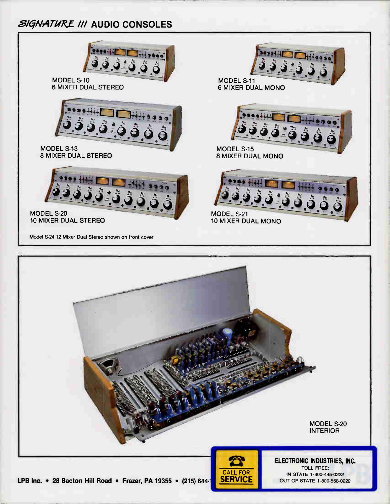## **SIGNATURE III AUDIO CONSOLES**



**SERVICE** 

OUT OF STATE 1-800-558-0222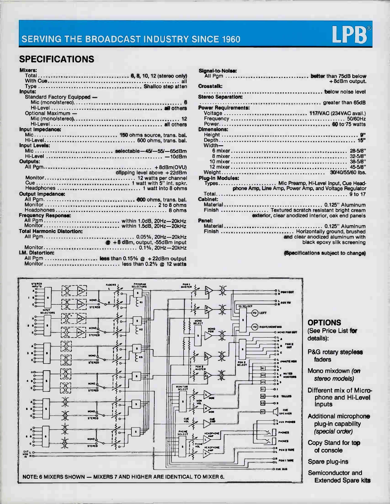

## SPECIFICATIONS

| Mixers:                           |                                        |
|-----------------------------------|----------------------------------------|
|                                   |                                        |
|                                   |                                        |
|                                   |                                        |
| Inputs:                           |                                        |
| Standard Factory Equipped -       |                                        |
|                                   |                                        |
|                                   |                                        |
| Optional Maximum -                |                                        |
|                                   |                                        |
|                                   |                                        |
| Input Impedance:                  |                                        |
| Mic 150 ohms source, trans. bal.  |                                        |
|                                   |                                        |
| <b>Input Levels:</b>              |                                        |
| Mic selectable-45/-55/-65dBm      |                                        |
|                                   |                                        |
| <b>Outputs:</b>                   |                                        |
|                                   |                                        |
|                                   | clipping level above +22dBm            |
|                                   |                                        |
|                                   |                                        |
|                                   |                                        |
| Output Impedance:                 |                                        |
|                                   |                                        |
|                                   |                                        |
|                                   |                                        |
| <b>Frequency Response:</b>        |                                        |
| All Pgm within 1.0dB, 20Hz-20kHz  |                                        |
| <b>Total Harmonic Distortion:</b> |                                        |
|                                   |                                        |
|                                   |                                        |
|                                   | $\otimes$ +8 dBm, output, -55dBm input |
| <b>I.M. Distortion:</b>           |                                        |
|                                   |                                        |
|                                   |                                        |
| Monitor less than 0.2% @ 12 watts |                                        |

| <b>Signal-to-Nolse:</b><br>All Pgm  better than 75dB below<br>+8dBm output.                          |
|------------------------------------------------------------------------------------------------------|
| <b>Crosstalk:</b>                                                                                    |
| <b>Stereo Separation:</b>                                                                            |
| <b>Power Requirements:</b>                                                                           |
| Voltage  117/VAC (234VAC avail.)<br><b>Dimensions:</b>                                               |
|                                                                                                      |
|                                                                                                      |
| Width-                                                                                               |
|                                                                                                      |
|                                                                                                      |
| $45 - 5/8$                                                                                           |
|                                                                                                      |
| <b>Plua-In Modules:</b>                                                                              |
| Types Mic Preamp, Hi-Level Input, Cue Head-                                                          |
| phone Amp, Line Amp, Power Amp, and Voltage Regulator                                                |
| <b>Cabinet:</b>                                                                                      |
|                                                                                                      |
| Finish  Textured scratch resistant bright cream<br>exterior, clear anodized interior, oak end panels |
| Panel:                                                                                               |
| Finish  Horizontally ground, brushed<br>and clear anodized aluminum with                             |
| black epoxy silk screening                                                                           |

(Specifications subject to change)



### **OPTIONS**

(See Price List for details):

P&G rotary stepless faders

Mono mixdown (on stereo models)

- Different mix of Microphone and Hi-Level inputs
- Additional microphone plug-in capability (special order)
- Copy Stand for top of console
- Spare plug-ins

Semiconductor and Extended Spare kits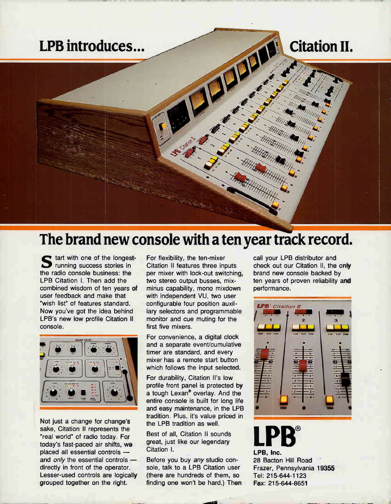

# The brand new console with a ten year track record.

 $\blacksquare$  tart with one of the longest-**4.7 running success stories in** the radio console business: the LPB Citation I. Then add the combined wisdom of ten years of user feedback and make that "wish list" of features standard. Now you've got the idea behind LPB's new low profile Citation II console.



Not just a change for change's sake, Citation Il represents the "real world" of radio today. For today's fast-paced air shifts, we placed all essential controls and only the essential controls directly in front of the operator. Lesser-used controls are logically grouped together on the right.

For flexibility, the ten-mixer Citation II features three inputs per mixer with lock-out switching, two stereo output busses, mixminus capability, mono mixdown with independent VU, two user configurable four position auxiliary selectors and programmable monitor and cue muting for the first five mixers.

For convenience, a digital clock and a separate event/cumulative timer are standard, and every mixer has a remote start button which follows the input selected.

For durability, Citation II's low profile front panel is protected by a tough Lexan<sup>®</sup> overlay. And the entire console is built for long life and easy maintenance, in the LPB tradition. Plus, it's value priced in the LPB tradition as well.

Best of all, Citation II sounds great, just like our legendary Citation I.

Before you buy any studio console, talk to a LPB Citation user (there are hundreds of them, so finding one won't be hard.) Then call your LPB distributor and check out our Citation II, the only brand new console backed by ten years of proven reliability and performance.



LPB, Inc. 28 Bacton Hill Road Frazer, Pennsylvania 19355 Tel: 215-644-1123 Fax: 215-644-8651